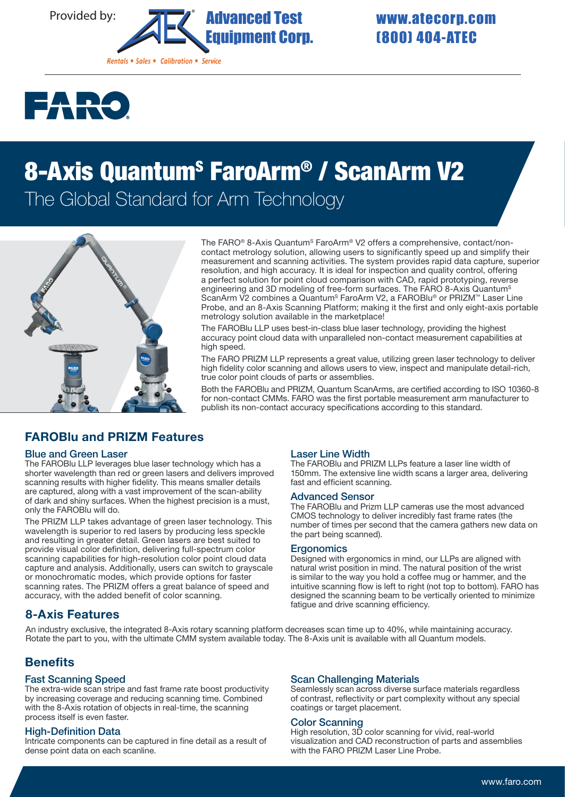



# 8-Axis Quantum<sup>s</sup> FaroArm® / ScanArm V2 The Global Standard for Arm Technology



The FARO® 8-Axis Quantum<sup>s</sup> FaroArm® V2 offers a comprehensive, contact/noncontact metrology solution, allowing users to significantly speed up and simplify their measurement and scanning activities. The system provides rapid data capture, superior resolution, and high accuracy. It is ideal for inspection and quality control, offering a perfect solution for point cloud comparison with CAD, rapid prototyping, reverse engineering and 3D modeling of free-form surfaces. The FARO 8-Axis Quantum<sup>s</sup> ScanArm V2 combines a Quantum<sup>s</sup> FaroArm V2, a FAROBlu® or PRIZM™ Laser Line Probe, and an 8-Axis Scanning Platform; making it the first and only eight-axis portable metrology solution available in the marketplace!

The FAROBlu LLP uses best-in-class blue laser technology, providing the highest accuracy point cloud data with unparalleled non-contact measurement capabilities at high speed.

The FARO PRIZM LLP represents a great value, utilizing green laser technology to deliver high fidelity color scanning and allows users to view, inspect and manipulate detail-rich, true color point clouds of parts or assemblies.

Both the FAROBlu and PRIZM, Quantum ScanArms, are certified according to ISO 10360-8 for non-contact CMMs. FARO was the first portable measurement arm manufacturer to publish its non-contact accuracy specifications according to this standard.

# FAROBlu and PRIZM Features

#### Blue and Green Laser

The FAROBlu LLP leverages blue laser technology which has a shorter wavelength than red or green lasers and delivers improved scanning results with higher fidelity. This means smaller details are captured, along with a vast improvement of the scan-ability of dark and shiny surfaces. When the highest precision is a must, only the FAROBlu will do.

The PRIZM LLP takes advantage of green laser technology. This wavelength is superior to red lasers by producing less speckle and resulting in greater detail. Green lasers are best suited to provide visual color definition, delivering full-spectrum color scanning capabilities for high-resolution color point cloud data capture and analysis. Additionally, users can switch to grayscale or monochromatic modes, which provide options for faster scanning rates. The PRIZM offers a great balance of speed and accuracy, with the added benefit of color scanning.

# 8-Axis Features

Laser Line Width The FAROBlu and PRIZM LLPs feature a laser line width of 150mm. The extensive line width scans a larger area, delivering

#### Advanced Sensor

fast and efficient scanning.

The FAROBlu and Prizm LLP cameras use the most advanced CMOS technology to deliver incredibly fast frame rates (the number of times per second that the camera gathers new data on the part being scanned).

#### **Ergonomics**

Designed with ergonomics in mind, our LLPs are aligned with natural wrist position in mind. The natural position of the wrist is similar to the way you hold a coffee mug or hammer, and the intuitive scanning flow is left to right (not top to bottom). FARO has designed the scanning beam to be vertically oriented to minimize fatigue and drive scanning efficiency.

An industry exclusive, the integrated 8-Axis rotary scanning platform decreases scan time up to 40%, while maintaining accuracy. Rotate the part to you, with the ultimate CMM system available today. The 8-Axis unit is available with all Quantum models.

# **Benefits**

#### Fast Scanning Speed

The extra-wide scan stripe and fast frame rate boost productivity by increasing coverage and reducing scanning time. Combined with the 8-Axis rotation of objects in real-time, the scanning process itself is even faster.

#### High-Definition Data

Intricate components can be captured in fine detail as a result of dense point data on each scanline.

#### Scan Challenging Materials

Seamlessly scan across diverse surface materials regardless of contrast, reflectivity or part complexity without any special coatings or target placement.

#### Color Scanning

High resolution, 3D color scanning for vivid, real-world visualization and CAD reconstruction of parts and assemblies with the FARO PRIZM Laser Line Probe.